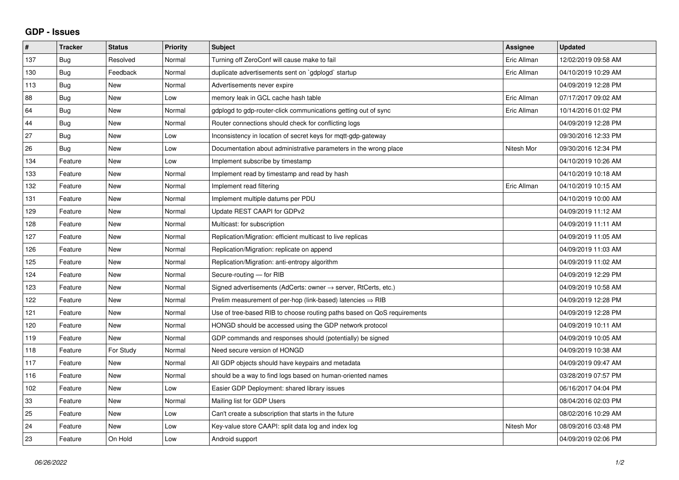## **GDP - Issues**

| $\sharp$ | <b>Tracker</b> | <b>Status</b> | <b>Priority</b> | <b>Subject</b>                                                          | <b>Assignee</b> | <b>Updated</b>      |
|----------|----------------|---------------|-----------------|-------------------------------------------------------------------------|-----------------|---------------------|
| 137      | Bug            | Resolved      | Normal          | Turning off ZeroConf will cause make to fail                            | Eric Allman     | 12/02/2019 09:58 AM |
| 130      | Bug            | Feedback      | Normal          | duplicate advertisements sent on `gdplogd` startup                      | Eric Allman     | 04/10/2019 10:29 AM |
| 113      | Bug            | <b>New</b>    | Normal          | Advertisements never expire                                             |                 | 04/09/2019 12:28 PM |
| 88       | Bug            | <b>New</b>    | Low             | memory leak in GCL cache hash table                                     | Eric Allman     | 07/17/2017 09:02 AM |
| 64       | <b>Bug</b>     | <b>New</b>    | Normal          | gdplogd to gdp-router-click communications getting out of sync          | Eric Allman     | 10/14/2016 01:02 PM |
| 44       | Bug            | <b>New</b>    | Normal          | Router connections should check for conflicting logs                    |                 | 04/09/2019 12:28 PM |
| 27       | Bug            | <b>New</b>    | Low             | Inconsistency in location of secret keys for mgtt-gdp-gateway           |                 | 09/30/2016 12:33 PM |
| 26       | Bug            | <b>New</b>    | Low             | Documentation about administrative parameters in the wrong place        | Nitesh Mor      | 09/30/2016 12:34 PM |
| 134      | Feature        | New           | Low             | Implement subscribe by timestamp                                        |                 | 04/10/2019 10:26 AM |
| 133      | Feature        | <b>New</b>    | Normal          | Implement read by timestamp and read by hash                            |                 | 04/10/2019 10:18 AM |
| 132      | Feature        | <b>New</b>    | Normal          | Implement read filtering                                                | Eric Allman     | 04/10/2019 10:15 AM |
| 131      | Feature        | New           | Normal          | Implement multiple datums per PDU                                       |                 | 04/10/2019 10:00 AM |
| 129      | Feature        | <b>New</b>    | Normal          | Update REST CAAPI for GDPv2                                             |                 | 04/09/2019 11:12 AM |
| 128      | Feature        | <b>New</b>    | Normal          | Multicast: for subscription                                             |                 | 04/09/2019 11:11 AM |
| 127      | Feature        | New           | Normal          | Replication/Migration: efficient multicast to live replicas             |                 | 04/09/2019 11:05 AM |
| 126      | Feature        | <b>New</b>    | Normal          | Replication/Migration: replicate on append                              |                 | 04/09/2019 11:03 AM |
| 125      | Feature        | <b>New</b>    | Normal          | Replication/Migration: anti-entropy algorithm                           |                 | 04/09/2019 11:02 AM |
| 124      | Feature        | <b>New</b>    | Normal          | Secure-routing - for RIB                                                |                 | 04/09/2019 12:29 PM |
| 123      | Feature        | <b>New</b>    | Normal          | Signed advertisements (AdCerts: owner → server, RtCerts, etc.)          |                 | 04/09/2019 10:58 AM |
| 122      | Feature        | <b>New</b>    | Normal          | Prelim measurement of per-hop (link-based) latencies $\Rightarrow$ RIB  |                 | 04/09/2019 12:28 PM |
| 121      | Feature        | <b>New</b>    | Normal          | Use of tree-based RIB to choose routing paths based on QoS requirements |                 | 04/09/2019 12:28 PM |
| 120      | Feature        | <b>New</b>    | Normal          | HONGD should be accessed using the GDP network protocol                 |                 | 04/09/2019 10:11 AM |
| 119      | Feature        | <b>New</b>    | Normal          | GDP commands and responses should (potentially) be signed               |                 | 04/09/2019 10:05 AM |
| 118      | Feature        | For Study     | Normal          | Need secure version of HONGD                                            |                 | 04/09/2019 10:38 AM |
| 117      | Feature        | <b>New</b>    | Normal          | All GDP objects should have keypairs and metadata                       |                 | 04/09/2019 09:47 AM |
| 116      | Feature        | New           | Normal          | should be a way to find logs based on human-oriented names              |                 | 03/28/2019 07:57 PM |
| 102      | Feature        | <b>New</b>    | Low             | Easier GDP Deployment: shared library issues                            |                 | 06/16/2017 04:04 PM |
| 33       | Feature        | <b>New</b>    | Normal          | Mailing list for GDP Users                                              |                 | 08/04/2016 02:03 PM |
| 25       | Feature        | <b>New</b>    | Low             | Can't create a subscription that starts in the future                   |                 | 08/02/2016 10:29 AM |
| 24       | Feature        | <b>New</b>    | Low             | Key-value store CAAPI: split data log and index log                     | Nitesh Mor      | 08/09/2016 03:48 PM |
| 23       | Feature        | On Hold       | Low             | Android support                                                         |                 | 04/09/2019 02:06 PM |